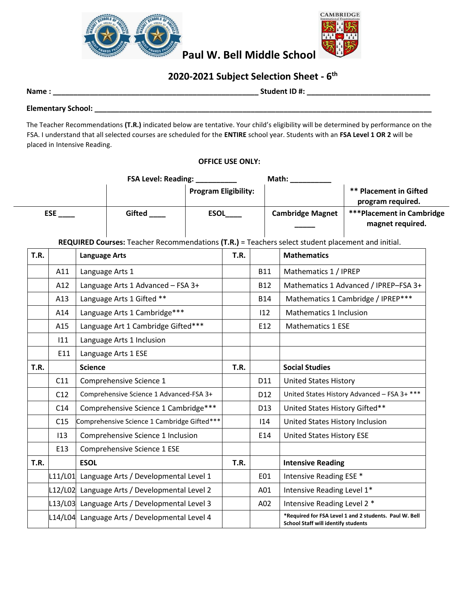



# **Paul W. Bell Middle School**

# **2020-2021 Subject Selection Sheet - 6 th**

**Name : \_\_\_\_\_\_\_\_\_\_\_\_\_\_\_\_\_\_\_\_\_\_\_\_\_\_\_\_\_\_\_\_\_\_\_\_\_\_\_\_\_\_\_\_\_\_\_\_\_\_ Student ID #: \_\_\_\_\_\_\_\_\_\_\_\_\_\_\_\_\_\_\_\_\_\_\_\_\_\_\_\_\_\_** 

**Elementary School: \_\_\_\_\_\_\_\_\_\_\_\_\_\_\_\_\_\_\_\_\_\_\_\_\_\_\_\_\_\_\_\_\_\_\_\_\_\_\_\_\_\_\_\_\_\_\_\_\_\_\_\_\_\_\_\_\_\_\_\_\_\_\_\_\_\_\_\_\_\_\_\_\_\_\_\_\_\_\_\_\_\_** 

The Teacher Recommendations **(T.R.)** indicated below are tentative. Your child's eligibility will be determined by performance on the FSA. I understand that all selected courses are scheduled for the **ENTIRE** school year. Students with an **FSA Level 1 OR 2** will be placed in Intensive Reading.

### **OFFICE USE ONLY:**

|             |            | FSA Level: Reading:                           |                                                                                                   |                             |             | Math:                    |                                            |                                                        |  |
|-------------|------------|-----------------------------------------------|---------------------------------------------------------------------------------------------------|-----------------------------|-------------|--------------------------|--------------------------------------------|--------------------------------------------------------|--|
|             |            |                                               |                                                                                                   | <b>Program Eligibility:</b> |             |                          |                                            | <b>** Placement in Gifted</b><br>program required.     |  |
|             | <b>ESE</b> |                                               | <b>Gifted</b>                                                                                     |                             | <b>ESOL</b> |                          | <b>Cambridge Magnet</b>                    | <b>***Placement in Cambridge</b><br>magnet required.   |  |
|             |            |                                               | REQUIRED Courses: Teacher Recommendations (T.R.) = Teachers select student placement and initial. |                             |             |                          |                                            |                                                        |  |
| <b>T.R.</b> |            | <b>Language Arts</b>                          |                                                                                                   |                             |             |                          | <b>Mathematics</b>                         |                                                        |  |
|             | A11        |                                               | Language Arts 1                                                                                   |                             |             | <b>B11</b>               | Mathematics 1 / IPREP                      |                                                        |  |
|             | A12        |                                               | Language Arts 1 Advanced - FSA 3+                                                                 |                             |             | <b>B12</b>               |                                            | Mathematics 1 Advanced / IPREP-FSA 3+                  |  |
|             | A13        |                                               | Language Arts 1 Gifted **                                                                         |                             |             | <b>B14</b>               |                                            | Mathematics 1 Cambridge / IPREP***                     |  |
|             | A14        |                                               | Language Arts 1 Cambridge***                                                                      |                             |             | 112                      | Mathematics 1 Inclusion                    |                                                        |  |
|             | A15        |                                               | Language Art 1 Cambridge Gifted***                                                                | E12                         |             | <b>Mathematics 1 ESE</b> |                                            |                                                        |  |
|             | 111        |                                               | Language Arts 1 Inclusion                                                                         |                             |             |                          |                                            |                                                        |  |
|             | E11        |                                               | Language Arts 1 ESE                                                                               |                             |             |                          |                                            |                                                        |  |
| T.R.        |            | <b>Science</b>                                |                                                                                                   |                             | T.R.        |                          | <b>Social Studies</b>                      |                                                        |  |
|             | C11        |                                               | Comprehensive Science 1                                                                           |                             |             | D11                      | <b>United States History</b>               |                                                        |  |
|             | C12        |                                               | Comprehensive Science 1 Advanced-FSA 3+                                                           |                             |             | D12                      |                                            | United States History Advanced - FSA 3+ ***            |  |
|             | C14        |                                               | Comprehensive Science 1 Cambridge***                                                              |                             |             | D13                      | United States History Gifted**             |                                                        |  |
|             | C15        | Comprehensive Science 1 Cambridge Gifted***   |                                                                                                   |                             |             | 114                      | United States History Inclusion            |                                                        |  |
|             | 113        |                                               | Comprehensive Science 1 Inclusion                                                                 |                             |             | E14                      | United States History ESE                  |                                                        |  |
|             | E13        |                                               | Comprehensive Science 1 ESE                                                                       |                             |             |                          |                                            |                                                        |  |
| <b>T.R.</b> |            | <b>ESOL</b>                                   |                                                                                                   |                             | T.R.        |                          | <b>Intensive Reading</b>                   |                                                        |  |
|             |            |                                               | L11/L01 Language Arts / Developmental Level 1                                                     |                             |             | E01                      | Intensive Reading ESE *                    |                                                        |  |
|             |            | L12/L02 Language Arts / Developmental Level 2 |                                                                                                   |                             |             | A01                      | Intensive Reading Level 1*                 |                                                        |  |
|             |            | L13/L03 Language Arts / Developmental Level 3 |                                                                                                   |                             |             | A02                      | Intensive Reading Level 2 *                |                                                        |  |
|             |            |                                               | L14/L04 Language Arts / Developmental Level 4                                                     |                             |             |                          | <b>School Staff will identify students</b> | *Required for FSA Level 1 and 2 students. Paul W. Bell |  |